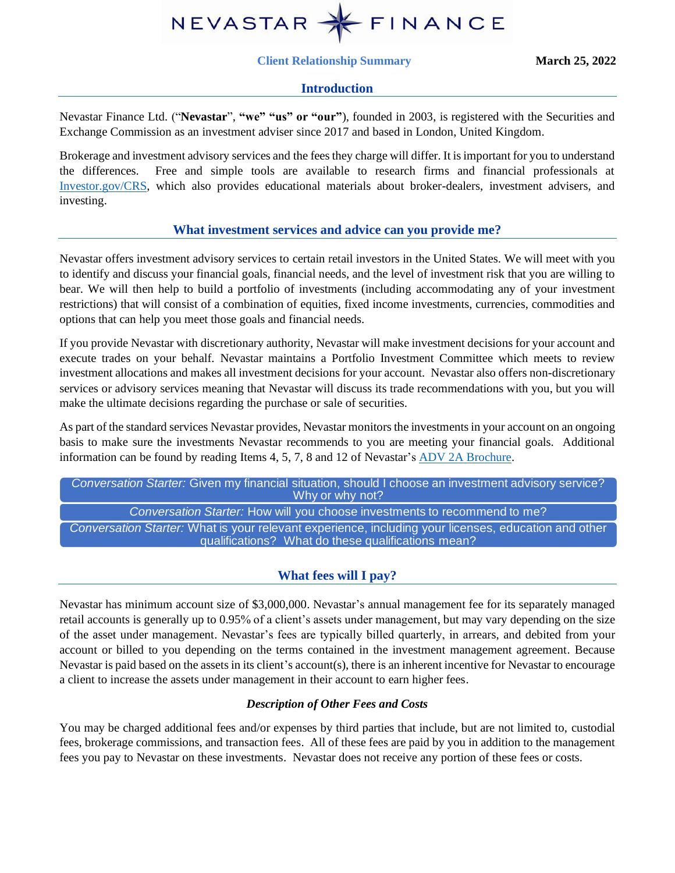

#### **Client Relationship Summary March 25, 2022**

### **Introduction**

Nevastar Finance Ltd. ("**Nevastar**", **"we" "us" or "our"**), founded in 2003, is registered with the Securities and Exchange Commission as an investment adviser since 2017 and based in London, United Kingdom.

Brokerage and investment advisory services and the fees they charge will differ. It is important for you to understand the differences. Free and simple tools are available to research firms and financial professionals at [Investor.gov/CRS,](http://www.investor.gov/CRS) which also provides educational materials about broker-dealers, investment advisers, and investing.

### **What investment services and advice can you provide me?**

Nevastar offers investment advisory services to certain retail investors in the United States. We will meet with you to identify and discuss your financial goals, financial needs, and the level of investment risk that you are willing to bear. We will then help to build a portfolio of investments (including accommodating any of your investment restrictions) that will consist of a combination of equities, fixed income investments, currencies, commodities and options that can help you meet those goals and financial needs.

If you provide Nevastar with discretionary authority, Nevastar will make investment decisions for your account and execute trades on your behalf. Nevastar maintains a Portfolio Investment Committee which meets to review investment allocations and makes all investment decisions for your account. Nevastar also offers non-discretionary services or advisory services meaning that Nevastar will discuss its trade recommendations with you, but you will make the ultimate decisions regarding the purchase or sale of securities.

As part of the standard services Nevastar provides, Nevastar monitors the investments in your account on an ongoing basis to make sure the investments Nevastar recommends to you are meeting your financial goals. Additional information can be found by reading Items 4, 5, 7, 8 and 12 of Nevastar's [ADV 2A Brochure.](https://adviserinfo.sec.gov/firm/summary/172523)

*Conversation Starter:* Given my financial situation, should I choose an investment advisory service? Why or why not? *Conversation Starter:* How will you choose investments to recommend to me? *Conversation Starter:* What is your relevant experience, including your licenses, education and other qualifications? What do these qualifications mean?

# **What fees will I pay?**

Nevastar has minimum account size of \$3,000,000. Nevastar's annual management fee for its separately managed retail accounts is generally up to 0.95% of a client's assets under management, but may vary depending on the size of the asset under management. Nevastar's fees are typically billed quarterly, in arrears, and debited from your account or billed to you depending on the terms contained in the investment management agreement. Because Nevastar is paid based on the assets in its client's account(s), there is an inherent incentive for Nevastar to encourage a client to increase the assets under management in their account to earn higher fees.

### *Description of Other Fees and Costs*

You may be charged additional fees and/or expenses by third parties that include, but are not limited to, custodial fees, brokerage commissions, and transaction fees. All of these fees are paid by you in addition to the management fees you pay to Nevastar on these investments. Nevastar does not receive any portion of these fees or costs.